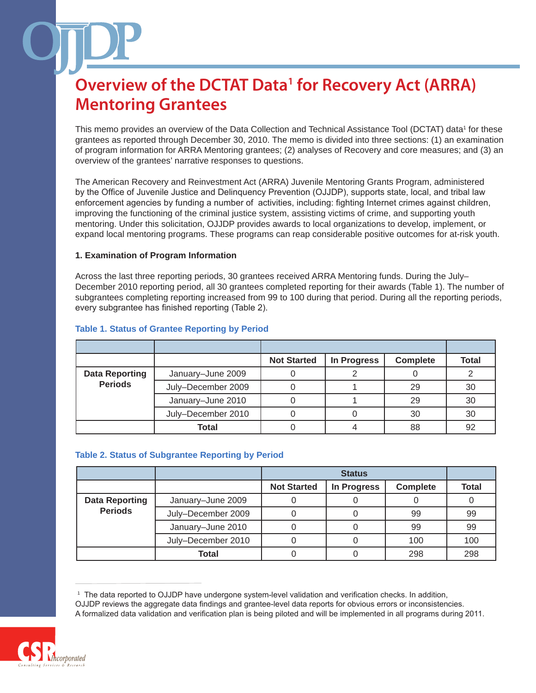This memo provides an overview of the Data Collection and Technical Assistance Tool (DCTAT) data<sup>1</sup> for these grantees as reported through December 30, 2010. The memo is divided into three sections: (1) an examination of program information for ARRA Mentoring grantees; (2) analyses of Recovery and core measures; and (3) an overview of the grantees' narrative responses to questions.

The American Recovery and Reinvestment Act (ARRA) Juvenile Mentoring Grants Program, administered by the Office of Juvenile Justice and Delinquency Prevention (OJJDP), supports state, local, and tribal law enforcement agencies by funding a number of activities, including: fighting Internet crimes against children, improving the functioning of the criminal justice system, assisting victims of crime, and supporting youth mentoring. Under this solicitation, OJJDP provides awards to local organizations to develop, implement, or expand local mentoring programs. These programs can reap considerable positive outcomes for at-risk youth.

## **1. Examination of Program Information**

Across the last three reporting periods, 30 grantees received ARRA Mentoring funds. During the July– December 2010 reporting period, all 30 grantees completed reporting for their awards (Table 1). The number of subgrantees completing reporting increased from 99 to 100 during that period. During all the reporting periods, every subgrantee has finished reporting (Table 2).

|                                         |                    | <b>Not Started</b> | In Progress | <b>Complete</b> | <b>Total</b> |
|-----------------------------------------|--------------------|--------------------|-------------|-----------------|--------------|
| <b>Data Reporting</b><br><b>Periods</b> | January-June 2009  |                    |             |                 |              |
|                                         | July-December 2009 |                    |             | 29              | 30           |
|                                         | January-June 2010  |                    |             | 29              | 30           |
|                                         | July-December 2010 |                    |             | 30              | 30           |
|                                         | <b>Total</b>       |                    |             | 88              | 92           |

## **Table 1. Status of Grantee Reporting by Period**

## **Table 2. Status of Subgrantee Reporting by Period**

|                       |                    | <b>Status</b>      |             |                 |              |
|-----------------------|--------------------|--------------------|-------------|-----------------|--------------|
|                       |                    | <b>Not Started</b> | In Progress | <b>Complete</b> | <b>Total</b> |
| <b>Data Reporting</b> | January-June 2009  |                    |             |                 |              |
| <b>Periods</b>        | July-December 2009 |                    |             | 99              | 99           |
|                       | January-June 2010  |                    |             | 99              | 99           |
|                       | July-December 2010 |                    |             | 100             | 100          |
|                       | Total              |                    |             | 298             | 298          |

<sup>1</sup> The data reported to OJJDP have undergone system-level validation and verification checks. In addition,

OJJDP reviews the aggregate data findings and grantee-level data reports for obvious errors or inconsistencies. A formalized data validation and verification plan is being piloted and will be implemented in all programs during 2011.

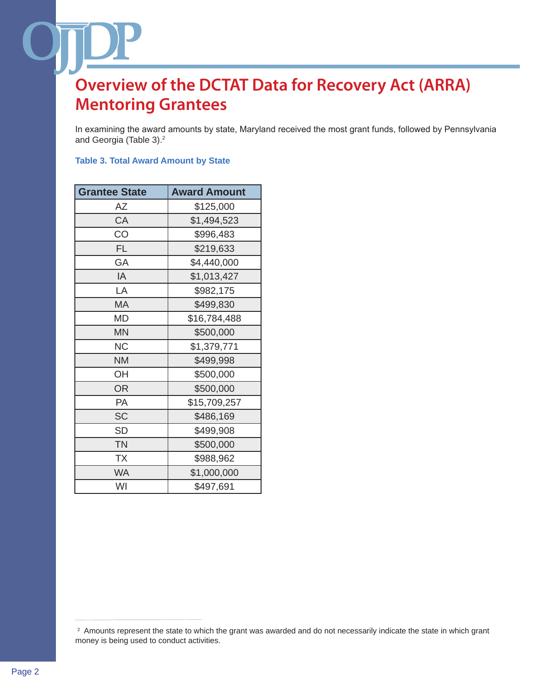In examining the award amounts by state, Maryland received the most grant funds, followed by Pennsylvania and Georgia (Table 3).2

## **Table 3. Total Award Amount by State**

| <b>Grantee State</b> | <b>Award Amount</b> |  |
|----------------------|---------------------|--|
| AΖ                   | \$125,000           |  |
| CA                   | \$1,494,523         |  |
| CO                   | \$996,483           |  |
| <b>FL</b>            | \$219,633           |  |
| GA                   | \$4,440,000         |  |
| IA                   | \$1,013,427         |  |
| LA                   | \$982,175           |  |
| MA                   | \$499,830           |  |
| MD                   | \$16,784,488        |  |
| <b>MN</b>            | \$500,000           |  |
| <b>NC</b>            | \$1,379,771         |  |
| <b>NM</b>            | \$499,998           |  |
| OH                   | \$500,000           |  |
| <b>OR</b>            | \$500,000           |  |
| PA                   | \$15,709,257        |  |
| <b>SC</b>            | \$486,169           |  |
| <b>SD</b>            | \$499,908           |  |
| <b>TN</b>            | \$500,000           |  |
| <b>TX</b>            | \$988,962           |  |
| <b>WA</b>            | \$1,000,000         |  |
| WI                   | \$497,691           |  |

<sup>2</sup> Amounts represent the state to which the grant was awarded and do not necessarily indicate the state in which grant money is being used to conduct activities.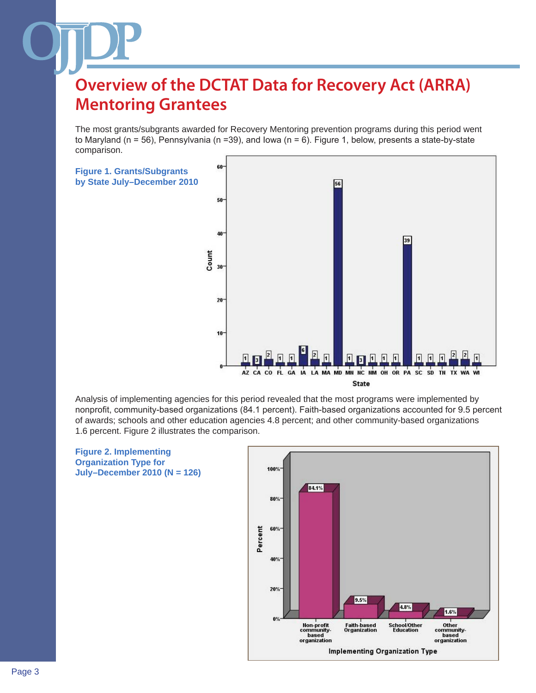The most grants/subgrants awarded for Recovery Mentoring prevention programs during this period went to Maryland (n = 56), Pennsylvania (n =39), and Iowa (n = 6). Figure 1, below, presents a state-by-state comparison.



Analysis of implementing agencies for this period revealed that the most programs were implemented by nonprofit, community-based organizations (84.1 percent). Faith-based organizations accounted for 9.5 percent of awards; schools and other education agencies 4.8 percent; and other community-based organizations 1.6 percent. Figure 2 illustrates the comparison.



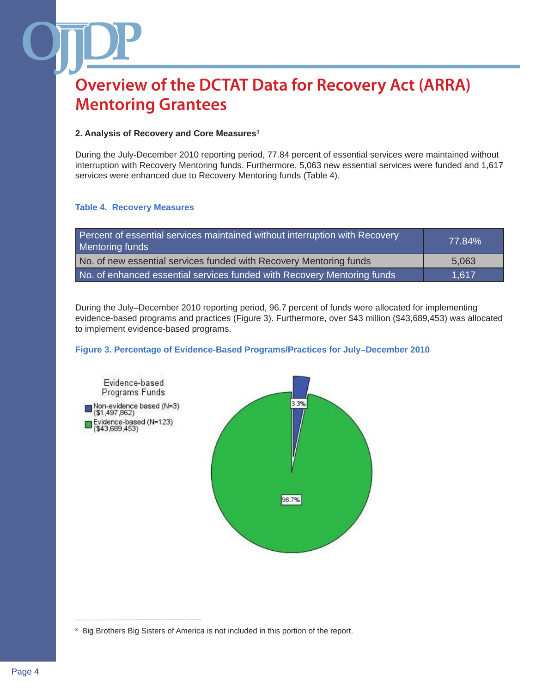## **2. Analysis of Recovery and Core Measures**<sup>3</sup>

During the July-December 2010 reporting period, 77.84 percent of essential services were maintained without interruption with Recovery Mentoring funds. Furthermore, 5,063 new essential services were funded and 1,617 services were enhanced due to Recovery Mentoring funds (Table 4).

### **Table 4. Recovery Measures**

| Percent of essential services maintained without interruption with Recovery<br>Mentoring funds | 77.84% |
|------------------------------------------------------------------------------------------------|--------|
| No. of new essential services funded with Recovery Mentoring funds                             | 5,063  |
| No. of enhanced essential services funded with Recovery Mentoring funds                        | 1.617  |

During the July–December 2010 reporting period, 96.7 percent of funds were allocated for implementing evidence-based programs and practices (Figure 3). Furthermore, over \$43 million (\$43,689,453) was allocated to implement evidence-based programs.

## **Figure 3. Percentage of Evidence-Based Programs/Practices for July–December 2010**



<sup>3</sup> Big Brothers Big Sisters of America is not included in this portion of the report.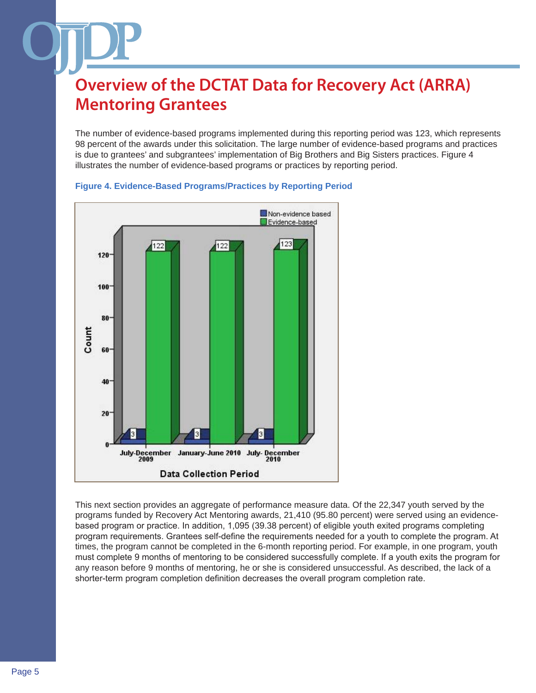The number of evidence-based programs implemented during this reporting period was 123, which represents 98 percent of the awards under this solicitation. The large number of evidence-based programs and practices is due to grantees' and subgrantees' implementation of Big Brothers and Big Sisters practices. Figure 4 illustrates the number of evidence-based programs or practices by reporting period.





This next section provides an aggregate of performance measure data. Of the 22,347 youth served by the programs funded by Recovery Act Mentoring awards, 21,410 (95.80 percent) were served using an evidencebased program or practice. In addition, 1,095 (39.38 percent) of eligible youth exited programs completing program requirements. Grantees self-define the requirements needed for a youth to complete the program. At times, the program cannot be completed in the 6-month reporting period. For example, in one program, youth must complete 9 months of mentoring to be considered successfully complete. If a youth exits the program for any reason before 9 months of mentoring, he or she is considered unsuccessful. As described, the lack of a shorter-term program completion definition decreases the overall program completion rate.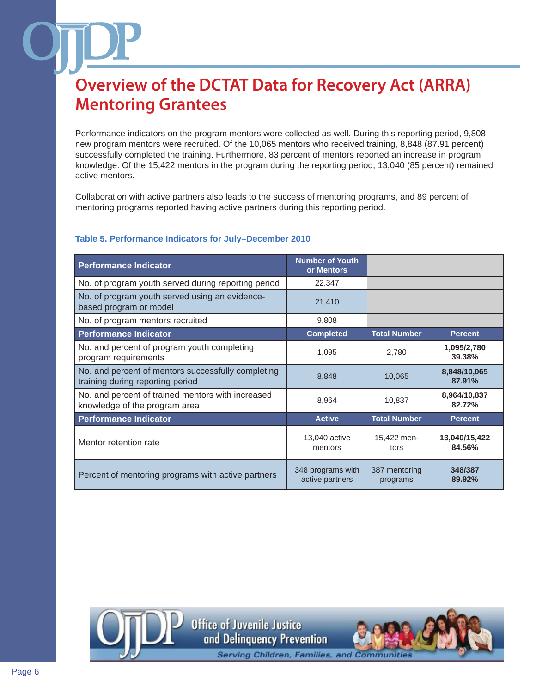Performance indicators on the program mentors were collected as well. During this reporting period, 9,808 new program mentors were recruited. Of the 10,065 mentors who received training, 8,848 (87.91 percent) successfully completed the training. Furthermore, 83 percent of mentors reported an increase in program knowledge. Of the 15,422 mentors in the program during the reporting period, 13,040 (85 percent) remained active mentors.

Collaboration with active partners also leads to the success of mentoring programs, and 89 percent of mentoring programs reported having active partners during this reporting period.

## **Table 5. Performance Indicators for July–December 2010**

| <b>Performance Indicator</b>                                                           | <b>Number of Youth</b><br>or Mentors |                           |                         |
|----------------------------------------------------------------------------------------|--------------------------------------|---------------------------|-------------------------|
| No. of program youth served during reporting period                                    | 22,347                               |                           |                         |
| No. of program youth served using an evidence-<br>based program or model               | 21,410                               |                           |                         |
| No. of program mentors recruited                                                       | 9,808                                |                           |                         |
| <b>Performance Indicator</b>                                                           | <b>Completed</b>                     | <b>Total Number</b>       | <b>Percent</b>          |
| No. and percent of program youth completing<br>program requirements                    | 1,095                                | 2,780                     | 1,095/2,780<br>39.38%   |
| No. and percent of mentors successfully completing<br>training during reporting period | 8,848                                | 10,065                    | 8,848/10,065<br>87.91%  |
| No. and percent of trained mentors with increased<br>knowledge of the program area     | 8,964                                | 10,837                    | 8,964/10,837<br>82.72%  |
| <b>Performance Indicator</b>                                                           | <b>Active</b>                        | <b>Total Number</b>       | <b>Percent</b>          |
| Mentor retention rate                                                                  | 13,040 active<br>mentors             | 15,422 men-<br>tors       | 13,040/15,422<br>84.56% |
| Percent of mentoring programs with active partners                                     | 348 programs with<br>active partners | 387 mentoring<br>programs | 348/387<br>89.92%       |

**Office of Juvenile Justice** and Delinguency Prevention

**Serving Children, Families, and Communit**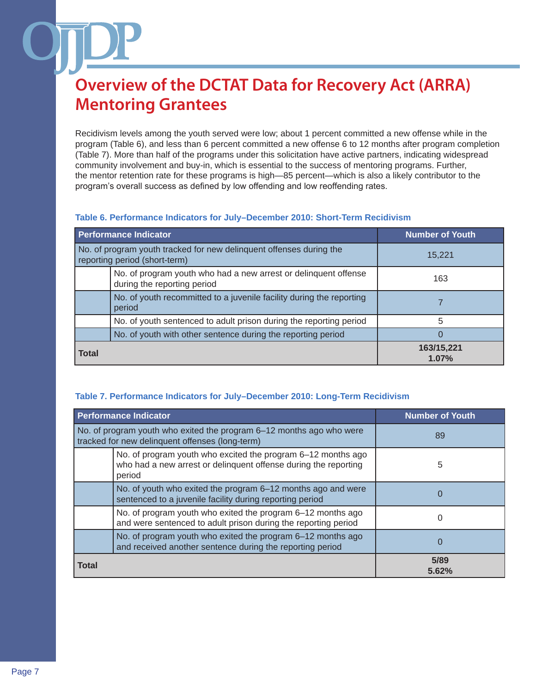Recidivism levels among the youth served were low; about 1 percent committed a new offense while in the program (Table 6), and less than 6 percent committed a new offense 6 to 12 months after program completion (Table 7). More than half of the programs under this solicitation have active partners, indicating widespread community involvement and buy-in, which is essential to the success of mentoring programs. Further, the mentor retention rate for these programs is high—85 percent—which is also a likely contributor to the program's overall success as defined by low offending and low reoffending rates.

## **Table 6. Performance Indicators for July–December 2010: Short-Term Recidivism**

| <b>Performance Indicator</b>                                                                         | <b>Number of Youth</b> |  |
|------------------------------------------------------------------------------------------------------|------------------------|--|
| No. of program youth tracked for new delinquent offenses during the<br>reporting period (short-term) | 15,221                 |  |
| No. of program youth who had a new arrest or delinguent offense<br>during the reporting period       | 163                    |  |
| No. of youth recommitted to a juvenile facility during the reporting<br>period                       |                        |  |
| No. of youth sentenced to adult prison during the reporting period                                   | 5                      |  |
| No. of youth with other sentence during the reporting period                                         |                        |  |
| <b>Total</b>                                                                                         | 163/15,221<br>1.07%    |  |

## **Table 7. Performance Indicators for July–December 2010: Long-Term Recidivism**

|                                                                                                                         | <b>Performance Indicator</b>                                                                                                              | <b>Number of Youth</b> |  |
|-------------------------------------------------------------------------------------------------------------------------|-------------------------------------------------------------------------------------------------------------------------------------------|------------------------|--|
| No. of program youth who exited the program 6–12 months ago who were<br>tracked for new delinquent offenses (long-term) |                                                                                                                                           | 89                     |  |
|                                                                                                                         | No. of program youth who excited the program 6-12 months ago<br>who had a new arrest or delinquent offense during the reporting<br>period | 5                      |  |
|                                                                                                                         | No. of youth who exited the program 6–12 months ago and were<br>sentenced to a juvenile facility during reporting period                  | 0                      |  |
|                                                                                                                         | No. of program youth who exited the program 6-12 months ago<br>and were sentenced to adult prison during the reporting period             |                        |  |
|                                                                                                                         | No. of program youth who exited the program 6-12 months ago<br>and received another sentence during the reporting period                  |                        |  |
| <b>Total</b>                                                                                                            |                                                                                                                                           | 5/89<br>5.62%          |  |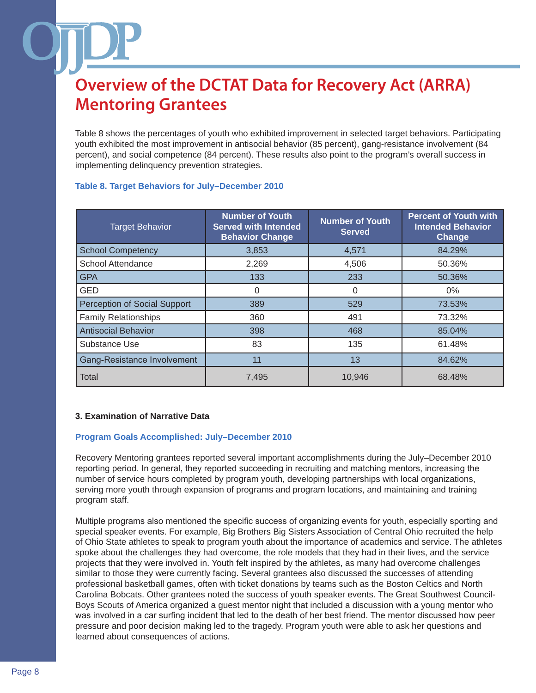Table 8 shows the percentages of youth who exhibited improvement in selected target behaviors. Participating youth exhibited the most improvement in antisocial behavior (85 percent), gang-resistance involvement (84 percent), and social competence (84 percent). These results also point to the program's overall success in implementing delinquency prevention strategies.

| <b>Target Behavior</b>       | <b>Number of Youth</b><br><b>Served with Intended</b><br><b>Behavior Change</b> | <b>Number of Youth</b><br><b>Served</b> | <b>Percent of Youth with</b><br><b>Intended Behavior</b><br>Change |
|------------------------------|---------------------------------------------------------------------------------|-----------------------------------------|--------------------------------------------------------------------|
| <b>School Competency</b>     | 3,853                                                                           | 4,571                                   | 84.29%                                                             |
| School Attendance            | 2,269                                                                           | 4,506                                   | 50.36%                                                             |
| <b>GPA</b>                   | 133                                                                             | 233                                     | 50.36%                                                             |
| <b>GED</b>                   | $\Omega$                                                                        | 0                                       | $0\%$                                                              |
| Perception of Social Support | 389                                                                             | 529                                     | 73.53%                                                             |
| <b>Family Relationships</b>  | 360                                                                             | 491                                     | 73.32%                                                             |
| <b>Antisocial Behavior</b>   | 398                                                                             | 468                                     | 85.04%                                                             |
| Substance Use                | 83                                                                              | 135                                     | 61.48%                                                             |
| Gang-Resistance Involvement  | 11                                                                              | 13                                      | 84.62%                                                             |
| Total                        | 7,495                                                                           | 10,946                                  | 68.48%                                                             |

## **Table 8. Target Behaviors for July–December 2010**

## **3. Examination of Narrative Data**

### **Program Goals Accomplished: July–December 2010**

Recovery Mentoring grantees reported several important accomplishments during the July–December 2010 reporting period. In general, they reported succeeding in recruiting and matching mentors, increasing the number of service hours completed by program youth, developing partnerships with local organizations, serving more youth through expansion of programs and program locations, and maintaining and training program staff.

Multiple programs also mentioned the specific success of organizing events for youth, especially sporting and special speaker events. For example, Big Brothers Big Sisters Association of Central Ohio recruited the help of Ohio State athletes to speak to program youth about the importance of academics and service. The athletes spoke about the challenges they had overcome, the role models that they had in their lives, and the service projects that they were involved in. Youth felt inspired by the athletes, as many had overcome challenges similar to those they were currently facing. Several grantees also discussed the successes of attending professional basketball games, often with ticket donations by teams such as the Boston Celtics and North Carolina Bobcats. Other grantees noted the success of youth speaker events. The Great Southwest Council-Boys Scouts of America organized a guest mentor night that included a discussion with a young mentor who was involved in a car surfing incident that led to the death of her best friend. The mentor discussed how peer pressure and poor decision making led to the tragedy. Program youth were able to ask her questions and learned about consequences of actions.